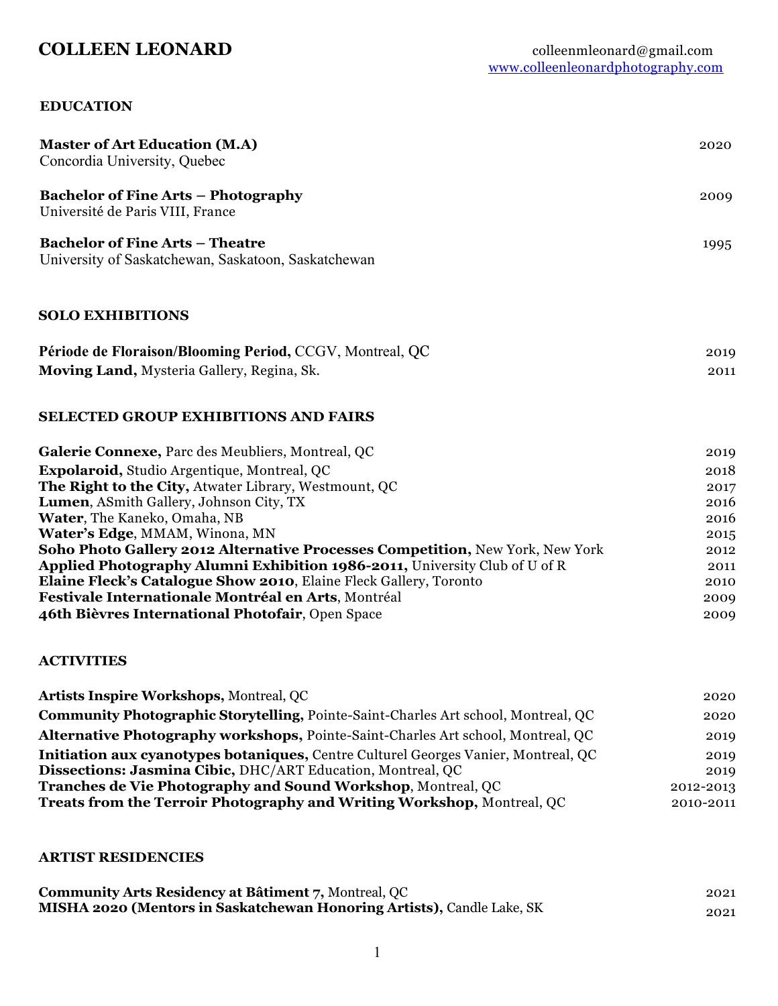### **EDUCATION**

| <b>Master of Art Education (M.A)</b><br>Concordia University, Quebec                                   | 2020         |
|--------------------------------------------------------------------------------------------------------|--------------|
| <b>Bachelor of Fine Arts – Photography</b><br>Université de Paris VIII, France                         | 2009         |
| <b>Bachelor of Fine Arts - Theatre</b><br>University of Saskatchewan, Saskatoon, Saskatchewan          | 1995         |
| <b>SOLO EXHIBITIONS</b>                                                                                |              |
| Période de Floraison/Blooming Period, CCGV, Montreal, QC<br>Moving Land, Mysteria Gallery, Regina, Sk. | 2019<br>2011 |
| <b>SELECTED GROUP EXHIBITIONS AND FAIRS</b>                                                            |              |
| Galerie Connexe, Parc des Meubliers, Montreal, QC                                                      | 2019         |
| <b>Expolaroid, Studio Argentique, Montreal, QC</b>                                                     | 2018         |
| The Right to the City, Atwater Library, Westmount, QC                                                  | 2017         |
| Lumen, ASmith Gallery, Johnson City, TX                                                                | 2016         |
| Water, The Kaneko, Omaha, NB                                                                           | 2016         |
| Water's Edge, MMAM, Winona, MN                                                                         | 2015         |
| Soho Photo Gallery 2012 Alternative Processes Competition, New York, New York                          | 2012         |
| Applied Photography Alumni Exhibition 1986-2011, University Club of U of R                             | 2011         |
| Elaine Fleck's Catalogue Show 2010, Elaine Fleck Gallery, Toronto                                      | 2010         |
| Festivale Internationale Montréal en Arts, Montréal                                                    | 2009         |
| 46th Bièvres International Photofair, Open Space                                                       | 2009         |

## **ACTIVITIES**

| <b>Artists Inspire Workshops, Montreal, QC</b>                                            | 2020      |
|-------------------------------------------------------------------------------------------|-----------|
| <b>Community Photographic Storytelling, Pointe-Saint-Charles Art school, Montreal, QC</b> | 2020      |
| <b>Alternative Photography workshops, Pointe-Saint-Charles Art school, Montreal, QC</b>   | 2019      |
| <b>Initiation aux cyanotypes botaniques, Centre Culturel Georges Vanier, Montreal, QC</b> | 2019      |
| Dissections: Jasmina Cibic, DHC/ART Education, Montreal, QC                               | 2019      |
| <b>Tranches de Vie Photography and Sound Workshop, Montreal, QC</b>                       | 2012-2013 |
| <b>Treats from the Terroir Photography and Writing Workshop, Montreal, QC</b>             | 2010-2011 |

# **ARTIST RESIDENCIES**

| <b>Community Arts Residency at Bâtiment 7, Montreal, QC</b>                   | 2021 |
|-------------------------------------------------------------------------------|------|
| <b>MISHA 2020 (Mentors in Saskatchewan Honoring Artists), Candle Lake, SK</b> | 2021 |